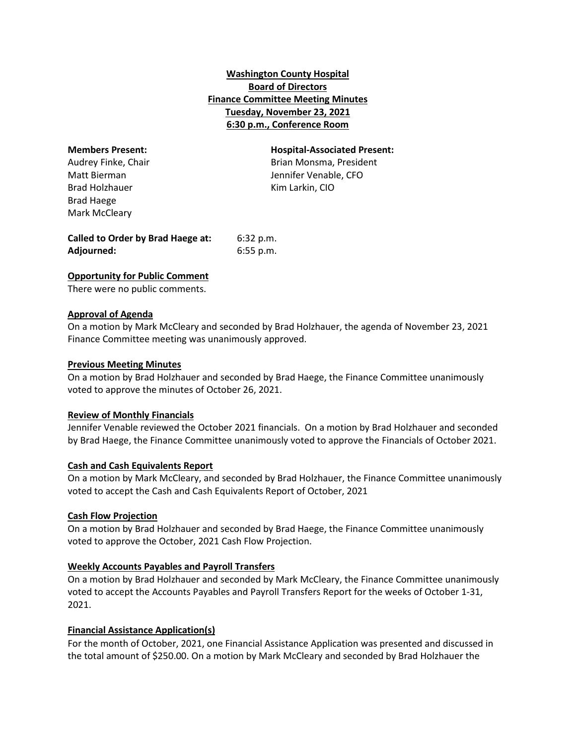# **Washington County Hospital Board of Directors Finance Committee Meeting Minutes Tuesday, November 23, 2021 6:30 p.m., Conference Room**

Brad Holzhauer Kim Larkin, CIO Brad Haege Mark McCleary

**Members Present: Hospital-Associated Present:** Audrey Finke, Chair **Brian Montes** Brian Monsma, President Matt Bierman Jennifer Venable, CFO

**Called to Order by Brad Haege at:** 6:32 p.m. **Adjourned:** 6:55 p.m.

## **Opportunity for Public Comment**

There were no public comments.

## **Approval of Agenda**

On a motion by Mark McCleary and seconded by Brad Holzhauer, the agenda of November 23, 2021 Finance Committee meeting was unanimously approved.

#### **Previous Meeting Minutes**

On a motion by Brad Holzhauer and seconded by Brad Haege, the Finance Committee unanimously voted to approve the minutes of October 26, 2021.

## **Review of Monthly Financials**

Jennifer Venable reviewed the October 2021 financials. On a motion by Brad Holzhauer and seconded by Brad Haege, the Finance Committee unanimously voted to approve the Financials of October 2021.

## **Cash and Cash Equivalents Report**

On a motion by Mark McCleary, and seconded by Brad Holzhauer, the Finance Committee unanimously voted to accept the Cash and Cash Equivalents Report of October, 2021

## **Cash Flow Projection**

On a motion by Brad Holzhauer and seconded by Brad Haege, the Finance Committee unanimously voted to approve the October, 2021 Cash Flow Projection.

## **Weekly Accounts Payables and Payroll Transfers**

On a motion by Brad Holzhauer and seconded by Mark McCleary, the Finance Committee unanimously voted to accept the Accounts Payables and Payroll Transfers Report for the weeks of October 1-31, 2021.

## **Financial Assistance Application(s)**

For the month of October, 2021, one Financial Assistance Application was presented and discussed in the total amount of \$250.00. On a motion by Mark McCleary and seconded by Brad Holzhauer the